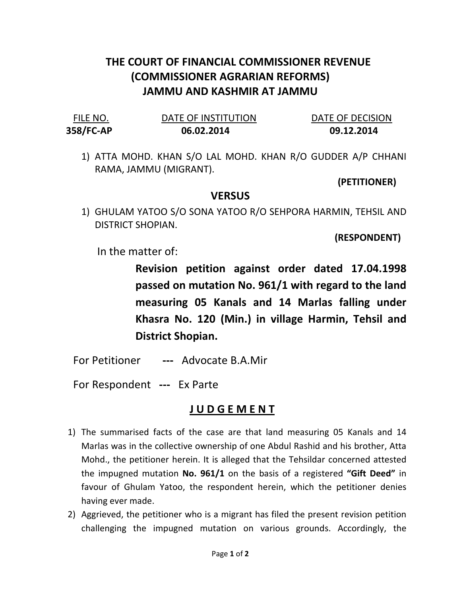## THE COURT OF FINANCIAL COMMISSIONER REVENUE (COMMISSIONER AGRARIAN REFORMS) JAMMU AND KASHMIR AT JAMMU

| FILE NO.  | DATE OF INSTITUTION | DATE OF DECISION |
|-----------|---------------------|------------------|
| 358/FC-AP | 06.02.2014          | 09.12.2014       |

1) ATTA MOHD. KHAN S/O LAL MOHD. KHAN R/O GUDDER A/P CHHANI RAMA, JAMMU (MIGRANT).

(PETITIONER)

## **VERSUS**

1) GHULAM YATOO S/O SONA YATOO R/O SEHPORA HARMIN, TEHSIL AND DISTRICT SHOPIAN.

(RESPONDENT)

In the matter of:

Revision petition against order dated 17.04.1998 passed on mutation No. 961/1 with regard to the land measuring 05 Kanals and 14 Marlas falling under Khasra No. 120 (Min.) in village Harmin, Tehsil and District Shopian.

For Petitioner --- Advocate B.A.Mir

For Respondent --- Ex Parte

## J U D G E M E N T

- 1) The summarised facts of the case are that land measuring 05 Kanals and 14 Marlas was in the collective ownership of one Abdul Rashid and his brother, Atta Mohd., the petitioner herein. It is alleged that the Tehsildar concerned attested the impugned mutation No. 961/1 on the basis of a registered "Gift Deed" in favour of Ghulam Yatoo, the respondent herein, which the petitioner denies having ever made.
- 2) Aggrieved, the petitioner who is a migrant has filed the present revision petition challenging the impugned mutation on various grounds. Accordingly, the